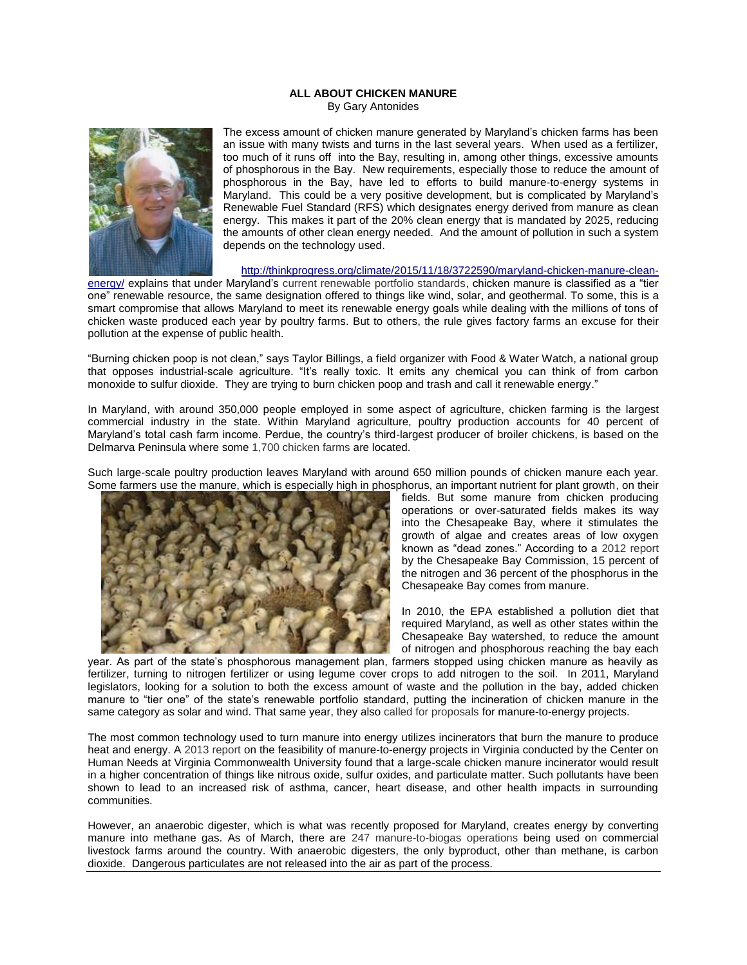## **ALL ABOUT CHICKEN MANURE** By Gary Antonides



The excess amount of chicken manure generated by Maryland's chicken farms has been an issue with many twists and turns in the last several years. When used as a fertilizer, too much of it runs off into the Bay, resulting in, among other things, excessive amounts of phosphorous in the Bay. New requirements, especially those to reduce the amount of phosphorous in the Bay, have led to efforts to build manure-to-energy systems in Maryland. This could be a very positive development, but is complicated by Maryland's Renewable Fuel Standard (RFS) which designates energy derived from manure as clean energy. This makes it part of the 20% clean energy that is mandated by 2025, reducing the amounts of other clean energy needed. And the amount of pollution in such a system depends on the technology used.

## [http://thinkprogress.org/climate/2015/11/18/3722590/maryland-chicken-manure-clean-](http://thinkprogress.org/climate/2015/11/18/3722590/maryland-chicken-manure-clean-energy/)

[energy/](http://thinkprogress.org/climate/2015/11/18/3722590/maryland-chicken-manure-clean-energy/) explains that under Maryland's [current renewable portfolio standards,](http://energy.gov/savings/renewable-energy-portfolio-standard) chicken manure is classified as a "tier one" renewable resource, the same designation offered to things like wind, solar, and geothermal. To some, this is a smart compromise that allows Maryland to meet its renewable energy goals while dealing with the millions of tons of chicken waste produced each year by poultry farms. But to others, the rule gives factory farms an excuse for their pollution at the expense of public health.

"Burning chicken poop is not clean," says Taylor Billings, a field organizer with Food & Water Watch, a national group that opposes industrial-scale agriculture. "It's really toxic. It emits any chemical you can think of from carbon monoxide to sulfur dioxide. They are trying to burn chicken poop and trash and call it renewable energy."

In Maryland, with around 350,000 people employed in some aspect of agriculture, chicken farming is the largest commercial industry in the state. Within Maryland agriculture, poultry production accounts for 40 percent of Maryland's total cash farm income. Perdue, the country's third-largest producer of broiler chickens, is based on the Delmarva Peninsula where som[e 1,700 chicken farms](https://www.dpichicken.org/media/nr_view.cfm?id=353) are located.

Such large-scale poultry production leaves Maryland with around 650 million pounds of chicken manure each year. Some farmers use the manure, [which is especially high in pho](http://www.baltimoresun.com/features/green/blog/bal-federal-report-tallies-toll-on-bay-of-shore-farmers-overfertilization-with-poultry-manure-20150312-story.html)sphorus, an important nutrient for plant growth, on their



fields. But some manure from chicken producing operations or over-saturated fields makes its way into the Chesapeake Bay, where it stimulates the growth of algae and creates areas of low oxygen known as "dead zones." According to a [2012 report](http://www.chesbay.us/Publications/manure-to-energy%20report.pdf) by the Chesapeake Bay Commission, 15 percent of the nitrogen and 36 percent of the phosphorus in the Chesapeake Bay comes from manure.

In 2010, the EPA established a pollution diet that required Maryland, as well as other states within the Chesapeake Bay watershed, to reduce the amount of nitrogen and phosphorous reaching the bay each

year. As part of the state's phosphorous management plan, farmers stopped using chicken manure as heavily as fertilizer, turning to nitrogen fertilizer or using legume cover crops to add nitrogen to the soil. In 2011, Maryland legislators, looking for a solution to both the excess amount of waste and the pollution in the bay, added chicken manure to "tier one" of the state's renewable portfolio standard, putting the incineration of chicken manure in the same category as solar and wind. That same year, they also [called for proposals](http://www.environmentalleader.com/2011/10/18/md-seeks-to-buy-power-from-chicken-manure/) for manure-to-energy projects.

The most common technology used to turn manure into energy utilizes incinerators that burn the manure to produce heat and energy. A [2013 report](http://www.hiasociety.org/documents/PoultryLitterHIA_FullReport.pdf) on the feasibility of manure-to-energy projects in Virginia conducted by the Center on Human Needs at Virginia Commonwealth University found that a large-scale chicken manure incinerator would result in a higher concentration of things like nitrous oxide, sulfur oxides, and particulate matter. Such pollutants have been shown to lead to an increased risk of asthma, cancer, heart disease, and other health impacts in surrounding communities.

However, an anaerobic digester, which is what was recently proposed for Maryland, creates energy by converting manure into methane gas. As of March, there are [247 manure-to-biogas operations](http://www2.epa.gov/agstar/agstar-data-and-trends) being used on commercial livestock farms around the country. With anaerobic digesters, the only byproduct, other than methane, is carbon dioxide. Dangerous particulates are not released into the air as part of the process.